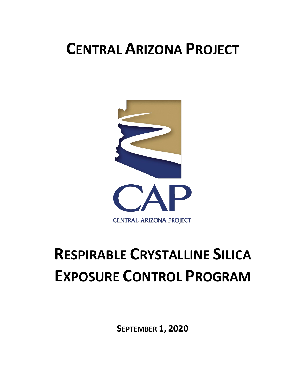## **CENTRAL ARIZONA PROJECT**



# **RESPIRABLE CRYSTALLINE SILICA EXPOSURE CONTROL PROGRAM**

**SEPTEMBER 1, 2020**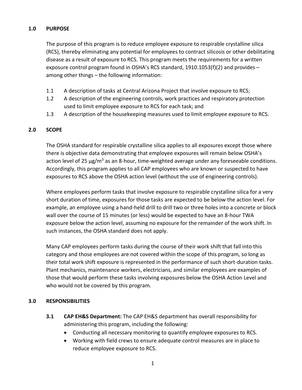#### **1.0 PURPOSE**

The purpose of this program is to reduce employee exposure to respirable crystalline silica (RCS), thereby eliminating any potential for employees to contract silicosis or other debilitating disease as a result of exposure to RCS. This program meets the requirements for a written exposure control program found in OSHA's RCS standard, 1910.1053(f)(2) and provides – among other things – the following information:

- 1.1 A description of tasks at Central Arizona Project that involve exposure to RCS;
- 1.2 A description of the engineering controls, work practices and respiratory protection used to limit employee exposure to RCS for each task; and
- 1.3 A description of the housekeeping measures used to limit employee exposure to RCS.

#### **2.0 SCOPE**

The OSHA standard for respirable crystalline silica applies to all exposures except those where there is objective data demonstrating that employee exposures will remain below OSHA's action level of 25  $\mu$ g/m<sup>3</sup> as an 8-hour, time-weighted average under any foreseeable conditions. Accordingly, this program applies to all CAP employees who are known or suspected to have exposures to RCS above the OSHA action level (without the use of engineering controls).

Where employees perform tasks that involve exposure to respirable crystalline silica for a very short duration of time, exposures for those tasks are expected to be below the action level. For example, an employee using a hand-held drill to drill two or three holes into a concrete or block wall over the course of 15 minutes (or less) would be expected to have an 8-hour TWA exposure below the action level, assuming no exposure for the remainder of the work shift. In such instances, the OSHA standard does not apply.

Many CAP employees perform tasks during the course of their work shift that fall into this category and those employees are not covered within the scope of this program, so long as their total work shift exposure is represented in the performance of such short-duration tasks. Plant mechanics, maintenance workers, electricians, and similar employees are examples of those that would perform these tasks involving exposures below the OSHA Action Level and who would not be covered by this program.

#### **3.0 RESPONSIBILITIES**

- **3.1 CAP EH&S Department:** The CAP EH&S department has overall responsibility for administering this program, including the following:
	- Conducting all necessary monitoring to quantify employee exposures to RCS.
	- Working with field crews to ensure adequate control measures are in place to reduce employee exposure to RCS.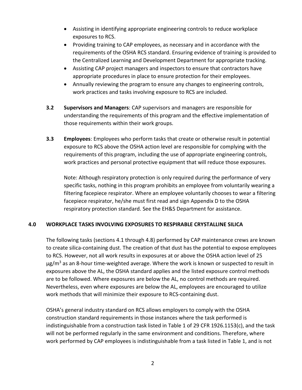- Assisting in identifying appropriate engineering controls to reduce workplace exposures to RCS.
- Providing training to CAP employees, as necessary and in accordance with the requirements of the OSHA RCS standard. Ensuring evidence of training is provided to the Centralized Learning and Development Department for appropriate tracking.
- Assisting CAP project managers and inspectors to ensure that contractors have appropriate procedures in place to ensure protection for their employees.
- Annually reviewing the program to ensure any changes to engineering controls, work practices and tasks involving exposure to RCS are included.
- **3.2 Supervisors and Managers**: CAP supervisors and managers are responsible for understanding the requirements of this program and the effective implementation of those requirements within their work groups.
- **3.3 Employees**: Employees who perform tasks that create or otherwise result in potential exposure to RCS above the OSHA action level are responsible for complying with the requirements of this program, including the use of appropriate engineering controls, work practices and personal protective equipment that will reduce those exposures.

Note: Although respiratory protection is only required during the performance of very specific tasks, nothing in this program prohibits an employee from voluntarily wearing a filtering facepiece respirator. Where an employee voluntarily chooses to wear a filtering facepiece respirator, he/she must first read and sign Appendix D to the OSHA respiratory protection standard. See the EH&S Department for assistance.

#### **4.0 WORKPLACE TASKS INVOLVING EXPOSURES TO RESPIRABLE CRYSTALLINE SILICA**

The following tasks (sections 4.1 through 4.8) performed by CAP maintenance crews are known to create silica-containing dust. The creation of that dust has the potential to expose employees to RCS. However, not all work results in exposures at or above the OSHA action level of 25  $\mu$ g/m<sup>3</sup> as an 8-hour time-weighted average. Where the work is known or suspected to result in exposures above the AL, the OSHA standard applies and the listed exposure control methods are to be followed. Where exposures are below the AL, no control methods are required. Nevertheless, even where exposures are below the AL, employees are encouraged to utilize work methods that will minimize their exposure to RCS-containing dust.

OSHA's general industry standard on RCS allows employers to comply with the OSHA construction standard requirements in those instances where the task performed is indistinguishable from a construction task listed in Table 1 of 29 CFR 1926.1153(c), and the task will not be performed regularly in the same environment and conditions. Therefore, where work performed by CAP employees is indistinguishable from a task listed in Table 1, and is not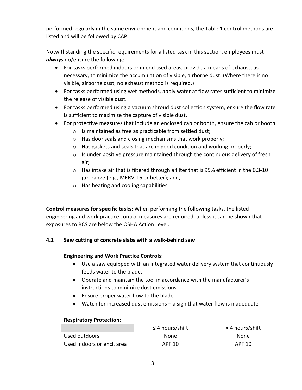performed regularly in the same environment and conditions, the Table 1 control methods are listed and will be followed by CAP.

Notwithstanding the specific requirements for a listed task in this section, employees must *always* do/ensure the following:

- For tasks performed indoors or in enclosed areas, provide a means of exhaust, as necessary, to minimize the accumulation of visible, airborne dust. (Where there is no visible, airborne dust, no exhaust method is required.)
- For tasks performed using wet methods, apply water at flow rates sufficient to minimize the release of visible dust.
- For tasks performed using a vacuum shroud dust collection system, ensure the flow rate is sufficient to maximize the capture of visible dust.
- For protective measures that include an enclosed cab or booth, ensure the cab or booth:
	- o Is maintained as free as practicable from settled dust;
	- o Has door seals and closing mechanisms that work properly;
	- o Has gaskets and seals that are in good condition and working properly;
	- o Is under positive pressure maintained through the continuous delivery of fresh air;
	- $\circ$  Has intake air that is filtered through a filter that is 95% efficient in the 0.3-10 µm range (e.g., MERV-16 or better); and,
	- o Has heating and cooling capabilities.

**Control measures for specific tasks:** When performing the following tasks, the listed engineering and work practice control measures are required, unless it can be shown that exposures to RCS are below the OSHA Action Level.

#### **4.1 Saw cutting of concrete slabs with a walk-behind saw**

#### **Engineering and Work Practice Controls:**

- Use a saw equipped with an integrated water delivery system that continuously feeds water to the blade.
- Operate and maintain the tool in accordance with the manufacturer's instructions to minimize dust emissions.
- Ensure proper water flow to the blade.
- Watch for increased dust emissions a sign that water flow is inadequate

#### **Respiratory Protection:**

|                            | $\leq$ 4 hours/shift | > 4 hours/shift |
|----------------------------|----------------------|-----------------|
| Used outdoors              | <b>None</b>          | None            |
| Used indoors or encl. area | APF 10               | APF 10          |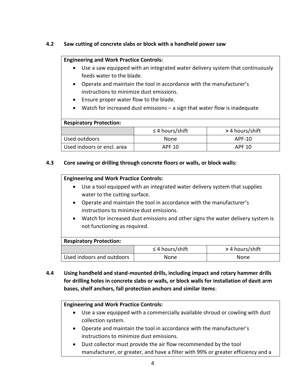#### **4.2 Saw cutting of concrete slabs or block with a handheld power saw**

#### **Engineering and Work Practice Controls:**

- Use a saw equipped with an integrated water delivery system that continuously feeds water to the blade.
- Operate and maintain the tool in accordance with the manufacturer's instructions to minimize dust emissions.
- Ensure proper water flow to the blade.
- Watch for increased dust emissions a sign that water flow is inadequate

#### **Respiratory Protection:**

|                            | $\leq$ 4 hours/shift | > 4 hours/shift |
|----------------------------|----------------------|-----------------|
| Used outdoors              | <b>None</b>          | APF-10          |
| Used indoors or encl. area | APF 10               | APF 10          |

#### **4.3 Core sawing or drilling through concrete floors or walls, or block walls:**

#### **Engineering and Work Practice Controls:**

- Use a tool equipped with an integrated water delivery system that supplies water to the cutting surface.
- Operate and maintain the tool in accordance with the manufacturer's instructions to minimize dust emissions.
- Watch for increased dust emissions and other signs the water delivery system is not functioning as required.

#### **Respiratory Protection:**

|                           | $\leq$ 4 hours/shift | > 4 hours/shift |
|---------------------------|----------------------|-----------------|
| Used indoors and outdoors | None                 | None            |

**4.4 Using handheld and stand-mounted drills, including impact and rotary hammer drills for drilling holes in concrete slabs or walls, or block walls for installation of davit arm bases, shelf anchors, fall protection anchors and similar items**:

#### **Engineering and Work Practice Controls:**

- Use a saw equipped with a commercially available shroud or cowling with dust collection system.
- Operate and maintain the tool in accordance with the manufacturer's instructions to minimize dust emissions.
- Dust collector must provide the air flow recommended by the tool manufacturer, or greater, and have a filter with 99% or greater efficiency and a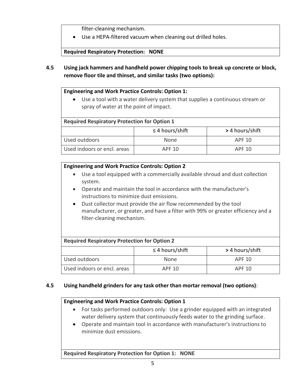filter-cleaning mechanism.

Use a HEPA-filtered vacuum when cleaning out drilled holes.

**Required Respiratory Protection: NONE**

**4.5 Using jack hammers and handheld power chipping tools to break up concrete or block, remove floor tile and thinset, and similar tasks (two options):** 

#### **Engineering and Work Practice Controls: Option 1:**

 Use a tool with a water delivery system that supplies a continuous stream or spray of water at the point of impact.

#### **Required Respiratory Protection for Option 1**

|                             | $\leq$ 4 hours/shift | > 4 hours/shift |
|-----------------------------|----------------------|-----------------|
| Used outdoors               | <b>None</b>          | APF 10          |
| Used indoors or encl. areas | APF 10               | APF 10          |

#### **Engineering and Work Practice Controls: Option 2**

- Use a tool equipped with a commercially available shroud and dust collection system.
- Operate and maintain the tool in accordance with the manufacturer's instructions to minimize dust emissions.
- Dust collector must provide the air flow recommended by the tool manufacturer, or greater, and have a filter with 99% or greater efficiency and a filter-cleaning mechanism.

| <b>Required Respiratory Protection for Option 2</b> |                      |                 |
|-----------------------------------------------------|----------------------|-----------------|
|                                                     | $\leq$ 4 hours/shift | > 4 hours/shift |
| Used outdoors                                       | None                 | APF 10          |
| Used indoors or encl. areas                         | APF 10               | APF 10          |

#### **4.5 Using handheld grinders for any task other than mortar removal (two options)**:

#### **Engineering and Work Practice Controls: Option 1**

- For tasks performed outdoors only: Use a grinder equipped with an integrated water delivery system that continuously feeds water to the grinding surface.
- Operate and maintain tool in accordance with manufacturer's instructions to minimize dust emissions.

**Required Respiratory Protection for Option 1: NONE**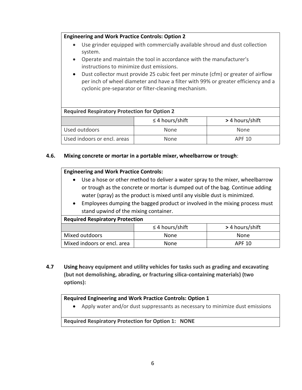#### **Engineering and Work Practice Controls: Option 2**

- Use grinder equipped with commercially available shroud and dust collection system.
- Operate and maintain the tool in accordance with the manufacturer's instructions to minimize dust emissions.
- Dust collector must provide 25 cubic feet per minute (cfm) or greater of airflow per inch of wheel diameter and have a filter with 99% or greater efficiency and a cyclonic pre-separator or filter-cleaning mechanism.

### **Required Respiratory Protection for Option 2** ≤ 4 hours/shift **>** 4 hours/shift Used outdoors None None Used indoors or encl. areas None None None APF 10

#### **4.6. Mixing concrete or mortar in a portable mixer, wheelbarrow or trough**:

#### **Engineering and Work Practice Controls:**

- Use a hose or other method to deliver a water spray to the mixer, wheelbarrow or trough as the concrete or mortar is dumped out of the bag. Continue adding water (spray) as the product is mixed until any visible dust is minimized.
- Employees dumping the bagged product or involved in the mixing process must stand upwind of the mixing container.

#### **Required Respiratory Protection**

|                             | $\leq$ 4 hours/shift | > 4 hours/shift |
|-----------------------------|----------------------|-----------------|
| Mixed outdoors              | <b>None</b>          | None            |
| Mixed indoors or encl. area | <b>None</b>          | APF 10          |

**4.7 Using heavy equipment and utility vehicles for tasks such as grading and excavating (but not demolishing, abrading, or fracturing silica-containing materials) (two options):**

#### **Required Engineering and Work Practice Controls: Option 1**

Apply water and/or dust suppressants as necessary to minimize dust emissions

#### **Required Respiratory Protection for Option 1: NONE**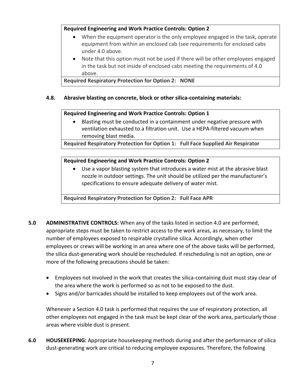#### **Required Engineering and Work Practice Controls: Option 2**

- When the equipment operator is the only employee engaged in the task, operate equipment from within an enclosed cab (see requirements for enclosed cabs under 4.0 above.
- Note that this option must not be used if there will be other employees engaged in the task but not inside of enclosed cabs meeting the requirements of 4.0 above.

**Required Respiratory Protection for Option 2: NONE**

#### **4.8. Abrasive blasting on concrete, block or other silica-containing materials:**

#### **Required Engineering and Work Practice Controls: Option 1**

 Blasting must be conducted in a containment under negative pressure with ventilation exhausted to a filtration unit. Use a HEPA-filtered vacuum when removing blast media.

**Required Respiratory Protection for Option 1: Full Face Supplied Air Respirator**

#### **Required Engineering and Work Practice Controls: Option 2**

 Use a vapor blasting system that introduces a water mist at the abrasive blast nozzle in outdoor settings. The unit should be utilized per the manufacturer's specifications to ensure adequate delivery of water mist.

**Required Respiratory Protection for Option 2: Full Face APR**

- **5.0 ADMINISTRATIVE CONTROLS:** When any of the tasks listed in section 4.0 are performed, appropriate steps must be taken to restrict access to the work areas, as necessary, to limit the number of employees exposed to respirable crystalline silica. Accordingly, when other employees or crews will be working in an area where one of the above tasks will be performed, the silica dust-generating work should be rescheduled. If rescheduling is not an option, one or more of the following precautions should be taken:
	- Employees not involved in the work that creates the silica-containing dust must stay clear of the area where the work is performed so as not to be exposed to the dust.
	- Signs and/or barricades should be installed to keep employees out of the work area.

Whenever a Section 4.0 task is performed that requires the use of respiratory protection, all other employees not engaged in the task must be kept clear of the work area, particularly those areas where visible dust is present.

**6.0 HOUSEKEEPING:** Appropriate housekeeping methods during and after the performance of silica dust-generating work are critical to reducing employee exposures. Therefore, the following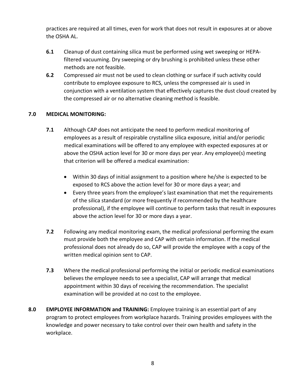practices are required at all times, even for work that does not result in exposures at or above the OSHA AL.

- **6.1** Cleanup of dust containing silica must be performed using wet sweeping or HEPAfiltered vacuuming. Dry sweeping or dry brushing is prohibited unless these other methods are not feasible.
- **6.2** Compressed air must not be used to clean clothing or surface if such activity could contribute to employee exposure to RCS, unless the compressed air is used in conjunction with a ventilation system that effectively captures the dust cloud created by the compressed air or no alternative cleaning method is feasible.

#### **7.0 MEDICAL MONITORING:**

- **7.1** Although CAP does not anticipate the need to perform medical monitoring of employees as a result of respirable crystalline silica exposure, initial and/or periodic medical examinations will be offered to any employee with expected exposures at or above the OSHA action level for 30 or more days per year. Any employee(s) meeting that criterion will be offered a medical examination:
	- Within 30 days of initial assignment to a position where he/she is expected to be exposed to RCS above the action level for 30 or more days a year; and
	- Every three years from the employee's last examination that met the requirements of the silica standard (or more frequently if recommended by the healthcare professional), if the employee will continue to perform tasks that result in exposures above the action level for 30 or more days a year.
- **7.2** Following any medical monitoring exam, the medical professional performing the exam must provide both the employee and CAP with certain information. If the medical professional does not already do so, CAP will provide the employee with a copy of the written medical opinion sent to CAP.
- **7.3** Where the medical professional performing the initial or periodic medical examinations believes the employee needs to see a specialist, CAP will arrange that medical appointment within 30 days of receiving the recommendation. The specialist examination will be provided at no cost to the employee.
- **8.0 EMPLOYEE INFORMATION and TRAINING:** Employee training is an essential part of any program to protect employees from workplace hazards. Training provides employees with the knowledge and power necessary to take control over their own health and safety in the workplace.